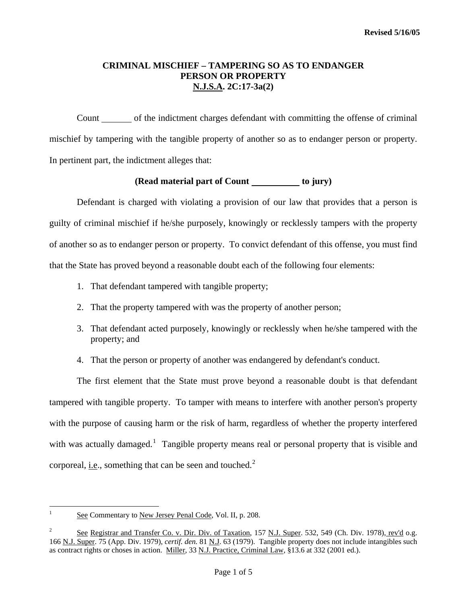#### **CRIMINAL MISCHIEF – TAMPERING SO AS TO ENDANGER PERSON OR PROPERTY N.J.S.A. 2C:17-3a(2)**

Count of the indictment charges defendant with committing the offense of criminal mischief by tampering with the tangible property of another so as to endanger person or property. In pertinent part, the indictment alleges that:

# **(Read material part of Count to jury)**

 Defendant is charged with violating a provision of our law that provides that a person is guilty of criminal mischief if he/she purposely, knowingly or recklessly tampers with the property of another so as to endanger person or property. To convict defendant of this offense, you must find that the State has proved beyond a reasonable doubt each of the following four elements:

- 1. That defendant tampered with tangible property;
- 2. That the property tampered with was the property of another person;
- 3. That defendant acted purposely, knowingly or recklessly when he/she tampered with the property; and
- 4. That the person or property of another was endangered by defendant's conduct.

 The first element that the State must prove beyond a reasonable doubt is that defendant tampered with tangible property. To tamper with means to interfere with another person's property with the purpose of causing harm or the risk of harm, regardless of whether the property interfered with was actually damaged.<sup>[1](#page-0-0)</sup> Tangible property means real or personal property that is visible and corporeal, i.e., something that can be seen and touched.<sup>[2](#page-0-1)</sup>

<span id="page-0-2"></span><span id="page-0-0"></span> $\frac{1}{1}$ See Commentary to New Jersey Penal Code, Vol. II, p. 208.

<span id="page-0-1"></span><sup>2</sup> See Registrar and Transfer Co. v. Dir. Div. of Taxation, 157 N.J. Super. 532, 549 (Ch. Div. 1978), rev'd o.g. 166 N.J. Super. 75 (App. Div. 1979), *certif. den.* 81 N.J. 63 (1979). Tangible property does not include intangibles such as contract rights or choses in action. Miller, 33 N.J. Practice, Criminal Law, §13.6 at 332 (2001 ed.).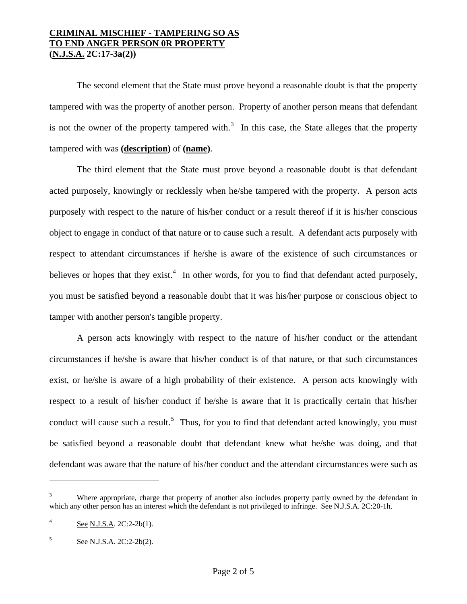# **CRIMINAL MISCHIEF - TAMPERING SO AS TO END ANGER PERSON 0R PROPERTY (N.J.S.A. 2C:17-3a(2))**

 The second element that the State must prove beyond a reasonable doubt is that the property tampered with was the property of another person. Property of another person means that defendant is not the owner of the property tampered with.<sup>[3](#page-0-2)</sup> In this case, the State alleges that the property tampered with was **(description)** of **(name)**.

 The third element that the State must prove beyond a reasonable doubt is that defendant acted purposely, knowingly or recklessly when he/she tampered with the property. A person acts purposely with respect to the nature of his/her conduct or a result thereof if it is his/her conscious object to engage in conduct of that nature or to cause such a result. A defendant acts purposely with respect to attendant circumstances if he/she is aware of the existence of such circumstances or believes or hopes that they exist.<sup>[4](#page-1-0)</sup> In other words, for you to find that defendant acted purposely, you must be satisfied beyond a reasonable doubt that it was his/her purpose or conscious object to tamper with another person's tangible property.

 A person acts knowingly with respect to the nature of his/her conduct or the attendant circumstances if he/she is aware that his/her conduct is of that nature, or that such circumstances exist, or he/she is aware of a high probability of their existence. A person acts knowingly with respect to a result of his/her conduct if he/she is aware that it is practically certain that his/her conduct will cause such a result.<sup>[5](#page-1-1)</sup> Thus, for you to find that defendant acted knowingly, you must be satisfied beyond a reasonable doubt that defendant knew what he/she was doing, and that defendant was aware that the nature of his/her conduct and the attendant circumstances were such as

 $\overline{a}$ 

<sup>3</sup> Where appropriate, charge that property of another also includes property partly owned by the defendant in which any other person has an interest which the defendant is not privileged to infringe. See N.J.S.A. 2C:20-1h.

<span id="page-1-0"></span><sup>4</sup> See N.J.S.A. 2C:2-2b(1).

<span id="page-1-1"></span><sup>5</sup> See N.J.S.A. 2C:2-2b(2).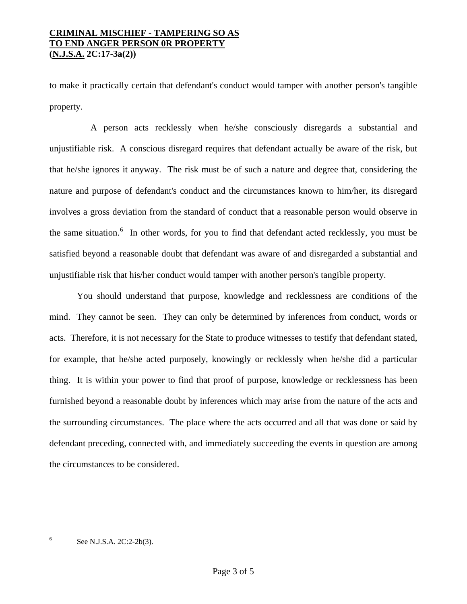# **CRIMINAL MISCHIEF - TAMPERING SO AS TO END ANGER PERSON 0R PROPERTY (N.J.S.A. 2C:17-3a(2))**

to make it practically certain that defendant's conduct would tamper with another person's tangible property.

 A person acts recklessly when he/she consciously disregards a substantial and unjustifiable risk. A conscious disregard requires that defendant actually be aware of the risk, but that he/she ignores it anyway. The risk must be of such a nature and degree that, considering the nature and purpose of defendant's conduct and the circumstances known to him/her, its disregard involves a gross deviation from the standard of conduct that a reasonable person would observe in the same situation.<sup>[6](#page-1-1)</sup> In other words, for you to find that defendant acted recklessly, you must be satisfied beyond a reasonable doubt that defendant was aware of and disregarded a substantial and unjustifiable risk that his/her conduct would tamper with another person's tangible property.

 You should understand that purpose, knowledge and recklessness are conditions of the mind. They cannot be seen. They can only be determined by inferences from conduct, words or acts. Therefore, it is not necessary for the State to produce witnesses to testify that defendant stated, for example, that he/she acted purposely, knowingly or recklessly when he/she did a particular thing. It is within your power to find that proof of purpose, knowledge or recklessness has been furnished beyond a reasonable doubt by inferences which may arise from the nature of the acts and the surrounding circumstances. The place where the acts occurred and all that was done or said by defendant preceding, connected with, and immediately succeeding the events in question are among the circumstances to be considered.

<span id="page-2-0"></span> $\frac{1}{6}$ 

See N.J.S.A. 2C:2-2b(3).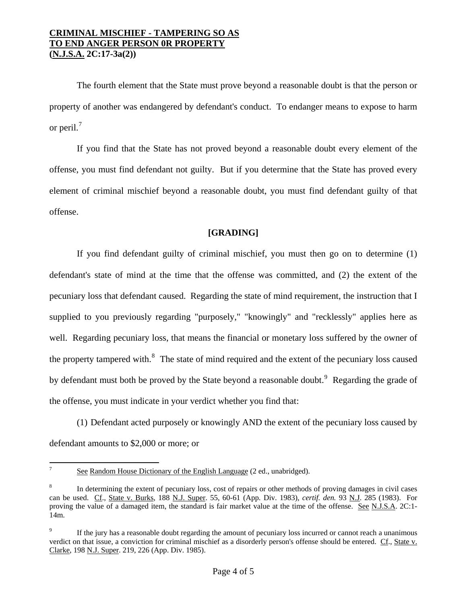The fourth element that the State must prove beyond a reasonable doubt is that the person or property of another was endangered by defendant's conduct. To endanger means to expose to harm or peril. $<sup>7</sup>$  $<sup>7</sup>$  $<sup>7</sup>$ </sup>

 If you find that the State has not proved beyond a reasonable doubt every element of the offense, you must find defendant not guilty. But if you determine that the State has proved every element of criminal mischief beyond a reasonable doubt, you must find defendant guilty of that offense.

# **[GRADING]**

 If you find defendant guilty of criminal mischief, you must then go on to determine (1) defendant's state of mind at the time that the offense was committed, and (2) the extent of the pecuniary loss that defendant caused. Regarding the state of mind requirement, the instruction that I supplied to you previously regarding "purposely," "knowingly" and "recklessly" applies here as well. Regarding pecuniary loss, that means the financial or monetary loss suffered by the owner of the property tampered with.<sup>[8](#page-3-0)</sup> The state of mind required and the extent of the pecuniary loss caused by defendant must both be proved by the State beyond a reasonable doubt.<sup>[9](#page-3-1)</sup> Regarding the grade of the offense, you must indicate in your verdict whether you find that:

 (1) Defendant acted purposely or knowingly AND the extent of the pecuniary loss caused by defendant amounts to \$2,000 or more; or

<sup>&</sup>lt;sup>-</sup> See Random House Dictionary of the English Language (2 ed., unabridged).

<span id="page-3-0"></span><sup>8</sup> In determining the extent of pecuniary loss, cost of repairs or other methods of proving damages in civil cases can be used. Cf., State v. Burks, 188 N.J. Super. 55, 60-61 (App. Div. 1983), *certif. den.* 93 N.J. 285 (1983). For proving the value of a damaged item, the standard is fair market value at the time of the offense. See N.J.S.A. 2C:1-14m.

<span id="page-3-1"></span><sup>9</sup> If the jury has a reasonable doubt regarding the amount of pecuniary loss incurred or cannot reach a unanimous verdict on that issue, a conviction for criminal mischief as a disorderly person's offense should be entered. Cf., State v. Clarke, 198 N.J. Super. 219, 226 (App. Div. 1985).